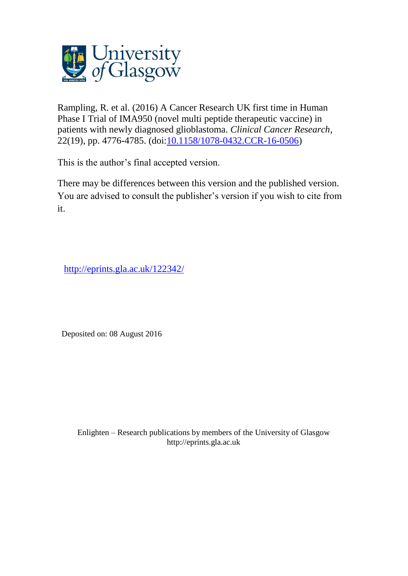

Rampling, R. et al. (2016) A Cancer Research UK first time in Human Phase I Trial of IMA950 (novel multi peptide therapeutic vaccine) in patients with newly diagnosed glioblastoma. *Clinical Cancer Research*, 22(19), pp. 4776-4785. (doi[:10.1158/1078-0432.CCR-16-0506\)](http://dx.doi.org/10.1158/1078-0432.CCR-16-0506)

This is the author's final accepted version.

There may be differences between this version and the published version. You are advised to consult the publisher's version if you wish to cite from it.

<http://eprints.gla.ac.uk/122342/>

Deposited on: 08 August 2016

Enlighten – Research publications by members of the University of Glasgo[w](http://eprints.gla.ac.uk/) [http://eprints.gla.ac.uk](http://eprints.gla.ac.uk/)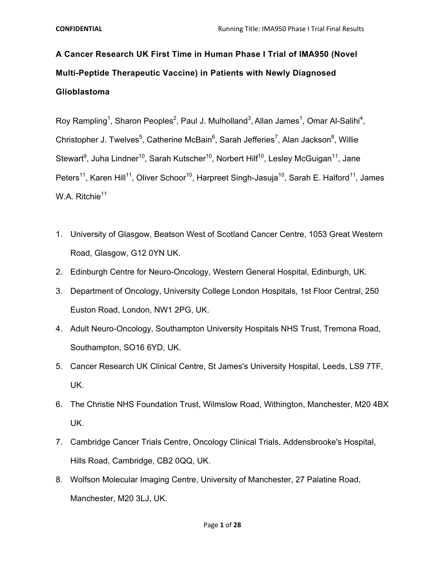**A Cancer Research UK First Time in Human Phase I Trial of IMA950 (Novel Multi-Peptide Therapeutic Vaccine) in Patients with Newly Diagnosed Glioblastoma** 

Roy Rampling<sup>1</sup>, Sharon Peoples<sup>2</sup>, Paul J. Mulholland<sup>3</sup>, Allan James<sup>1</sup>, Omar Al-Salihi<sup>4</sup>, Christopher J. Twelves<sup>5</sup>, Catherine McBain<sup>6</sup>, Sarah Jefferies<sup>7</sup>, Alan Jackson<sup>8</sup>, Willie Stewart<sup>9</sup>, Juha Lindner<sup>10</sup>, Sarah Kutscher<sup>10</sup>, Norbert Hilf<sup>10</sup>, Lesley McGuigan<sup>11</sup>, Jane Peters<sup>11</sup>, Karen Hill<sup>11</sup>, Oliver Schoor<sup>10</sup>, Harpreet Singh-Jasuja<sup>10</sup>, Sarah E. Halford<sup>11</sup>, James W.A. Ritchie<sup>11</sup>

- 1. University of Glasgow, Beatson West of Scotland Cancer Centre, 1053 Great Western Road, Glasgow, G12 0YN UK.
- 2. Edinburgh Centre for Neuro-Oncology, Western General Hospital, Edinburgh, UK.
- 3. Department of Oncology, University College London Hospitals, 1st Floor Central, 250 Euston Road, London, NW1 2PG, UK.
- 4. Adult Neuro-Oncology, Southampton University Hospitals NHS Trust, Tremona Road, Southampton, SO16 6YD, UK.
- 5. Cancer Research UK Clinical Centre, St James's University Hospital, Leeds, LS9 7TF, UK.
- 6. The Christie NHS Foundation Trust, Wilmslow Road, Withington, Manchester, M20 4BX UK.
- 7. Cambridge Cancer Trials Centre, Oncology Clinical Trials, Addensbrooke's Hospital, Hills Road, Cambridge, CB2 0QQ, UK.
- 8. Wolfson Molecular Imaging Centre, University of Manchester, 27 Palatine Road, Manchester, M20 3LJ, UK.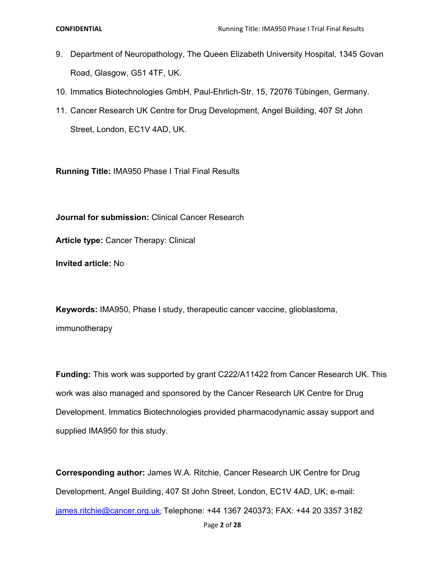- 9. Department of Neuropathology, The Queen Elizabeth University Hospital, 1345 Govan Road, Glasgow, G51 4TF, UK.
- 10. Immatics Biotechnologies GmbH, Paul-Ehrlich-Str. 15, 72076 Tübingen, Germany.
- 11. Cancer Research UK Centre for Drug Development, Angel Building, 407 St John Street, London, EC1V 4AD, UK.

**Running Title:** IMA950 Phase I Trial Final Results

**Journal for submission:** Clinical Cancer Research

**Article type:** Cancer Therapy: Clinical

**Invited article:** No

**Keywords:** IMA950, Phase I study, therapeutic cancer vaccine, glioblastoma, immunotherapy

**Funding:** This work was supported by grant C222/A11422 from Cancer Research UK. This work was also managed and sponsored by the Cancer Research UK Centre for Drug Development. Immatics Biotechnologies provided pharmacodynamic assay support and supplied IMA950 for this study.

**Corresponding author:** James W.A. Ritchie, Cancer Research UK Centre for Drug Development, Angel Building, 407 St John Street, London, EC1V 4AD, UK; e-mail: james.ritchie@cancer.org.uk; Telephone: +44 1367 240373; FAX: +44 20 3357 3182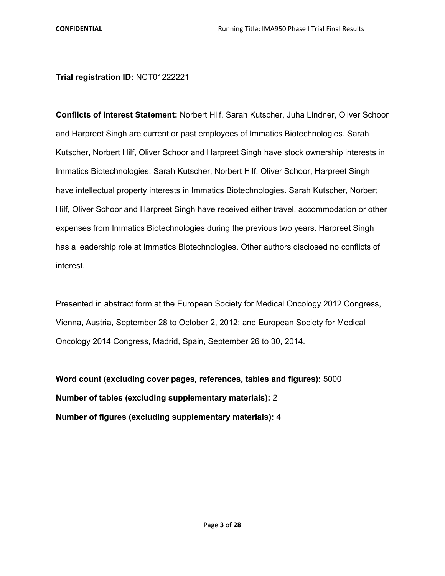**Trial registration ID:** NCT01222221

**Conflicts of interest Statement:** Norbert Hilf, Sarah Kutscher, Juha Lindner, Oliver Schoor and Harpreet Singh are current or past employees of Immatics Biotechnologies. Sarah Kutscher, Norbert Hilf, Oliver Schoor and Harpreet Singh have stock ownership interests in Immatics Biotechnologies. Sarah Kutscher, Norbert Hilf, Oliver Schoor, Harpreet Singh have intellectual property interests in Immatics Biotechnologies. Sarah Kutscher, Norbert Hilf, Oliver Schoor and Harpreet Singh have received either travel, accommodation or other expenses from Immatics Biotechnologies during the previous two years. Harpreet Singh has a leadership role at Immatics Biotechnologies. Other authors disclosed no conflicts of interest.

Presented in abstract form at the European Society for Medical Oncology 2012 Congress, Vienna, Austria, September 28 to October 2, 2012; and European Society for Medical Oncology 2014 Congress, Madrid, Spain, September 26 to 30, 2014.

**Word count (excluding cover pages, references, tables and figures):** 5000 **Number of tables (excluding supplementary materials):** 2 **Number of figures (excluding supplementary materials):** 4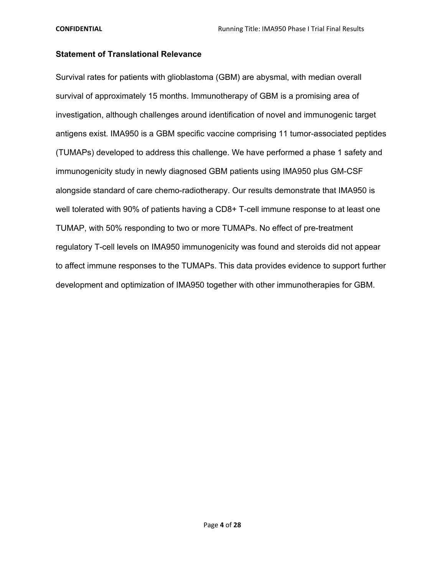# **Statement of Translational Relevance**

Survival rates for patients with glioblastoma (GBM) are abysmal, with median overall survival of approximately 15 months. Immunotherapy of GBM is a promising area of investigation, although challenges around identification of novel and immunogenic target antigens exist. IMA950 is a GBM specific vaccine comprising 11 tumor-associated peptides (TUMAPs) developed to address this challenge. We have performed a phase 1 safety and immunogenicity study in newly diagnosed GBM patients using IMA950 plus GM-CSF alongside standard of care chemo-radiotherapy. Our results demonstrate that IMA950 is well tolerated with 90% of patients having a CD8+ T-cell immune response to at least one TUMAP, with 50% responding to two or more TUMAPs. No effect of pre-treatment regulatory T-cell levels on IMA950 immunogenicity was found and steroids did not appear to affect immune responses to the TUMAPs. This data provides evidence to support further development and optimization of IMA950 together with other immunotherapies for GBM.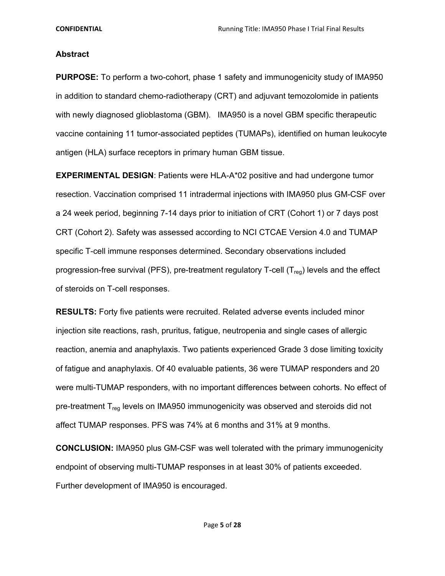## **Abstract**

**PURPOSE:** To perform a two-cohort, phase 1 safety and immunogenicity study of IMA950 in addition to standard chemo-radiotherapy (CRT) and adjuvant temozolomide in patients with newly diagnosed glioblastoma (GBM). IMA950 is a novel GBM specific therapeutic vaccine containing 11 tumor-associated peptides (TUMAPs), identified on human leukocyte antigen (HLA) surface receptors in primary human GBM tissue.

**EXPERIMENTAL DESIGN**: Patients were HLA-A\*02 positive and had undergone tumor resection. Vaccination comprised 11 intradermal injections with IMA950 plus GM-CSF over a 24 week period, beginning 7-14 days prior to initiation of CRT (Cohort 1) or 7 days post CRT (Cohort 2). Safety was assessed according to NCI CTCAE Version 4.0 and TUMAP specific T-cell immune responses determined. Secondary observations included progression-free survival (PFS), pre-treatment regulatory T-cell ( $T_{\text{rea}}$ ) levels and the effect of steroids on T-cell responses.

**RESULTS:** Forty five patients were recruited. Related adverse events included minor injection site reactions, rash, pruritus, fatigue, neutropenia and single cases of allergic reaction, anemia and anaphylaxis. Two patients experienced Grade 3 dose limiting toxicity of fatigue and anaphylaxis. Of 40 evaluable patients, 36 were TUMAP responders and 20 were multi-TUMAP responders, with no important differences between cohorts. No effect of pre-treatment  $T_{\text{req}}$  levels on IMA950 immunogenicity was observed and steroids did not affect TUMAP responses. PFS was 74% at 6 months and 31% at 9 months.

**CONCLUSION:** IMA950 plus GM-CSF was well tolerated with the primary immunogenicity endpoint of observing multi-TUMAP responses in at least 30% of patients exceeded. Further development of IMA950 is encouraged.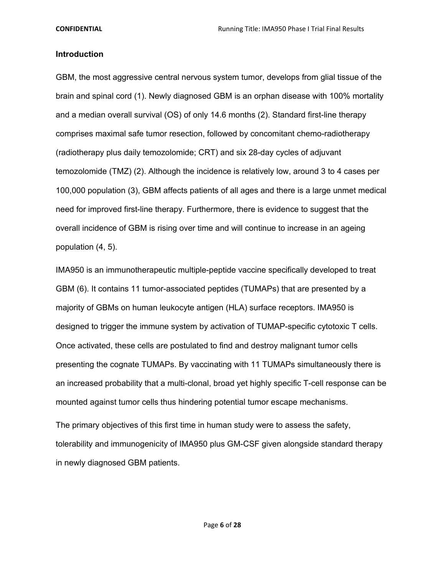## **Introduction**

GBM, the most aggressive central nervous system tumor, develops from glial tissue of the brain and spinal cord (1). Newly diagnosed GBM is an orphan disease with 100% mortality and a median overall survival (OS) of only 14.6 months (2). Standard first-line therapy comprises maximal safe tumor resection, followed by concomitant chemo-radiotherapy (radiotherapy plus daily temozolomide; CRT) and six 28-day cycles of adjuvant temozolomide (TMZ) (2). Although the incidence is relatively low, around 3 to 4 cases per 100,000 population (3), GBM affects patients of all ages and there is a large unmet medical need for improved first-line therapy. Furthermore, there is evidence to suggest that the overall incidence of GBM is rising over time and will continue to increase in an ageing population (4, 5).

IMA950 is an immunotherapeutic multiple-peptide vaccine specifically developed to treat GBM (6). It contains 11 tumor-associated peptides (TUMAPs) that are presented by a majority of GBMs on human leukocyte antigen (HLA) surface receptors. IMA950 is designed to trigger the immune system by activation of TUMAP-specific cytotoxic T cells. Once activated, these cells are postulated to find and destroy malignant tumor cells presenting the cognate TUMAPs. By vaccinating with 11 TUMAPs simultaneously there is an increased probability that a multi-clonal, broad yet highly specific T-cell response can be mounted against tumor cells thus hindering potential tumor escape mechanisms.

The primary objectives of this first time in human study were to assess the safety, tolerability and immunogenicity of IMA950 plus GM-CSF given alongside standard therapy in newly diagnosed GBM patients.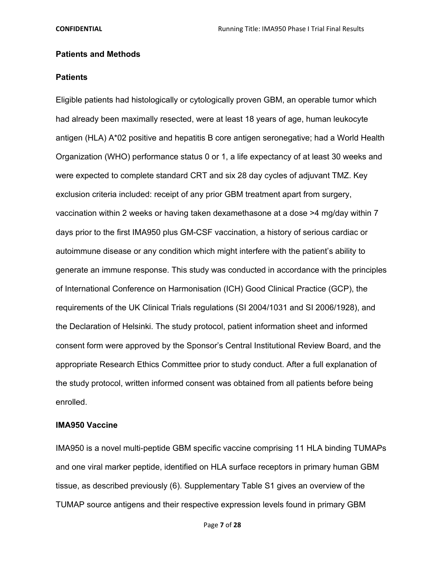## **Patients and Methods**

## **Patients**

Eligible patients had histologically or cytologically proven GBM, an operable tumor which had already been maximally resected, were at least 18 years of age, human leukocyte antigen (HLA) A\*02 positive and hepatitis B core antigen seronegative; had a World Health Organization (WHO) performance status 0 or 1, a life expectancy of at least 30 weeks and were expected to complete standard CRT and six 28 day cycles of adjuvant TMZ. Key exclusion criteria included: receipt of any prior GBM treatment apart from surgery, vaccination within 2 weeks or having taken dexamethasone at a dose >4 mg/day within 7 days prior to the first IMA950 plus GM-CSF vaccination, a history of serious cardiac or autoimmune disease or any condition which might interfere with the patient's ability to generate an immune response. This study was conducted in accordance with the principles of International Conference on Harmonisation (ICH) Good Clinical Practice (GCP), the requirements of the UK Clinical Trials regulations (SI 2004/1031 and SI 2006/1928), and the Declaration of Helsinki. The study protocol, patient information sheet and informed consent form were approved by the Sponsor's Central Institutional Review Board, and the appropriate Research Ethics Committee prior to study conduct. After a full explanation of the study protocol, written informed consent was obtained from all patients before being enrolled.

## **IMA950 Vaccine**

IMA950 is a novel multi-peptide GBM specific vaccine comprising 11 HLA binding TUMAPs and one viral marker peptide, identified on HLA surface receptors in primary human GBM tissue, as described previously (6). Supplementary Table S1 gives an overview of the TUMAP source antigens and their respective expression levels found in primary GBM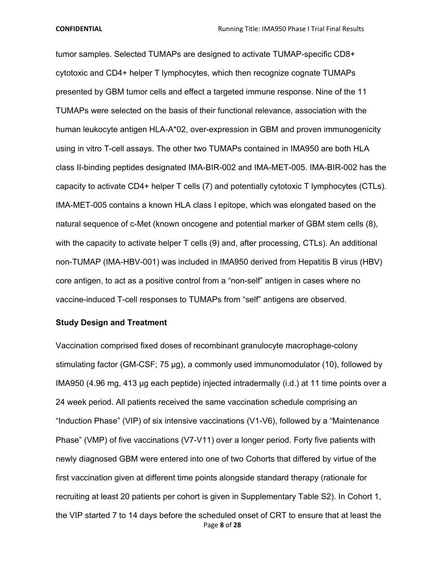tumor samples. Selected TUMAPs are designed to activate TUMAP-specific CD8+ cytotoxic and CD4+ helper T lymphocytes, which then recognize cognate TUMAPs presented by GBM tumor cells and effect a targeted immune response. Nine of the 11 TUMAPs were selected on the basis of their functional relevance, association with the human leukocyte antigen HLA-A\*02, over-expression in GBM and proven immunogenicity using in vitro T-cell assays. The other two TUMAPs contained in IMA950 are both HLA class II-binding peptides designated IMA-BIR-002 and IMA-MET-005. IMA-BIR-002 has the capacity to activate CD4+ helper T cells (7) and potentially cytotoxic T lymphocytes (CTLs). IMA-MET-005 contains a known HLA class I epitope, which was elongated based on the natural sequence of c-Met (known oncogene and potential marker of GBM stem cells (8), with the capacity to activate helper T cells (9) and, after processing, CTLs). An additional non-TUMAP (IMA-HBV-001) was included in IMA950 derived from Hepatitis B virus (HBV) core antigen, to act as a positive control from a "non-self" antigen in cases where no vaccine-induced T-cell responses to TUMAPs from "self" antigens are observed.

## **Study Design and Treatment**

Page **8** of **28** Vaccination comprised fixed doses of recombinant granulocyte macrophage-colony stimulating factor (GM-CSF; 75 μg), a commonly used immunomodulator (10), followed by IMA950 (4.96 mg, 413 μg each peptide) injected intradermally (i.d.) at 11 time points over a 24 week period. All patients received the same vaccination schedule comprising an "Induction Phase" (VIP) of six intensive vaccinations (V1-V6), followed by a "Maintenance Phase" (VMP) of five vaccinations (V7-V11) over a longer period. Forty five patients with newly diagnosed GBM were entered into one of two Cohorts that differed by virtue of the first vaccination given at different time points alongside standard therapy (rationale for recruiting at least 20 patients per cohort is given in Supplementary Table S2). In Cohort 1, the VIP started 7 to 14 days before the scheduled onset of CRT to ensure that at least the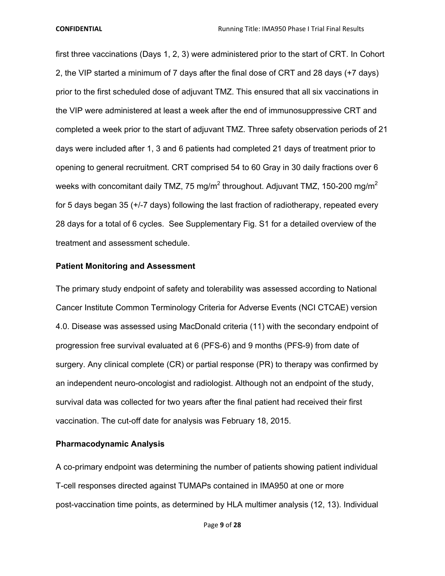first three vaccinations (Days 1, 2, 3) were administered prior to the start of CRT. In Cohort 2, the VIP started a minimum of 7 days after the final dose of CRT and 28 days (+7 days) prior to the first scheduled dose of adjuvant TMZ. This ensured that all six vaccinations in the VIP were administered at least a week after the end of immunosuppressive CRT and completed a week prior to the start of adjuvant TMZ. Three safety observation periods of 21 days were included after 1, 3 and 6 patients had completed 21 days of treatment prior to opening to general recruitment. CRT comprised 54 to 60 Gray in 30 daily fractions over 6 weeks with concomitant daily TMZ, 75 mg/m<sup>2</sup> throughout. Adjuvant TMZ, 150-200 mg/m<sup>2</sup> for 5 days began 35 (+/-7 days) following the last fraction of radiotherapy, repeated every 28 days for a total of 6 cycles. See Supplementary Fig. S1 for a detailed overview of the treatment and assessment schedule.

## **Patient Monitoring and Assessment**

The primary study endpoint of safety and tolerability was assessed according to National Cancer Institute Common Terminology Criteria for Adverse Events (NCI CTCAE) version 4.0. Disease was assessed using MacDonald criteria (11) with the secondary endpoint of progression free survival evaluated at 6 (PFS-6) and 9 months (PFS-9) from date of surgery. Any clinical complete (CR) or partial response (PR) to therapy was confirmed by an independent neuro-oncologist and radiologist. Although not an endpoint of the study, survival data was collected for two years after the final patient had received their first vaccination. The cut-off date for analysis was February 18, 2015.

## **Pharmacodynamic Analysis**

A co-primary endpoint was determining the number of patients showing patient individual T-cell responses directed against TUMAPs contained in IMA950 at one or more post-vaccination time points, as determined by HLA multimer analysis (12, 13). Individual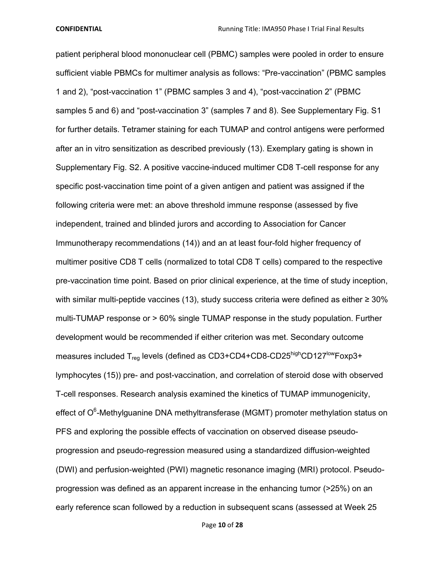patient peripheral blood mononuclear cell (PBMC) samples were pooled in order to ensure sufficient viable PBMCs for multimer analysis as follows: "Pre-vaccination" (PBMC samples 1 and 2), "post-vaccination 1" (PBMC samples 3 and 4), "post-vaccination 2" (PBMC samples 5 and 6) and "post-vaccination 3" (samples 7 and 8). See Supplementary Fig. S1 for further details. Tetramer staining for each TUMAP and control antigens were performed after an in vitro sensitization as described previously (13). Exemplary gating is shown in Supplementary Fig. S2. A positive vaccine-induced multimer CD8 T-cell response for any specific post-vaccination time point of a given antigen and patient was assigned if the following criteria were met: an above threshold immune response (assessed by five independent, trained and blinded jurors and according to Association for Cancer Immunotherapy recommendations (14)) and an at least four-fold higher frequency of multimer positive CD8 T cells (normalized to total CD8 T cells) compared to the respective pre-vaccination time point. Based on prior clinical experience, at the time of study inception, with similar multi-peptide vaccines (13), study success criteria were defined as either ≥ 30% multi-TUMAP response or > 60% single TUMAP response in the study population. Further development would be recommended if either criterion was met. Secondary outcome measures included T<sub>reg</sub> levels (defined as CD3+CD4+CD8-CD25highCD127lowFoxp3+ lymphocytes (15)) pre- and post-vaccination, and correlation of steroid dose with observed T-cell responses. Research analysis examined the kinetics of TUMAP immunogenicity, effect of O<sup>6</sup>-Methylguanine DNA methyltransferase (MGMT) promoter methylation status on PFS and exploring the possible effects of vaccination on observed disease pseudoprogression and pseudo-regression measured using a standardized diffusion-weighted (DWI) and perfusion-weighted (PWI) magnetic resonance imaging (MRI) protocol. Pseudoprogression was defined as an apparent increase in the enhancing tumor (>25%) on an early reference scan followed by a reduction in subsequent scans (assessed at Week 25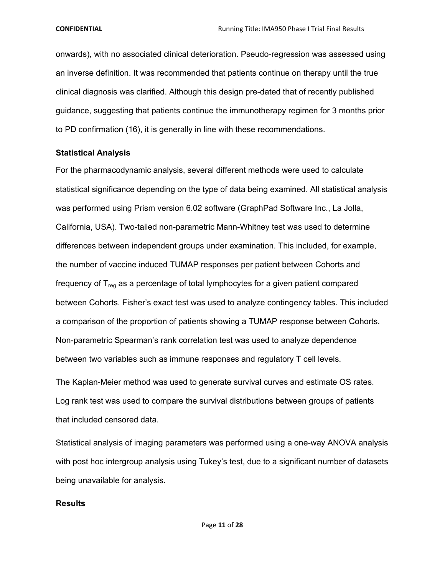onwards), with no associated clinical deterioration. Pseudo-regression was assessed using an inverse definition. It was recommended that patients continue on therapy until the true clinical diagnosis was clarified. Although this design pre-dated that of recently published guidance, suggesting that patients continue the immunotherapy regimen for 3 months prior to PD confirmation (16), it is generally in line with these recommendations.

## **Statistical Analysis**

For the pharmacodynamic analysis, several different methods were used to calculate statistical significance depending on the type of data being examined. All statistical analysis was performed using Prism version 6.02 software (GraphPad Software Inc., La Jolla, California, USA). Two-tailed non-parametric Mann-Whitney test was used to determine differences between independent groups under examination. This included, for example, the number of vaccine induced TUMAP responses per patient between Cohorts and frequency of  $T_{\text{rea}}$  as a percentage of total lymphocytes for a given patient compared between Cohorts. Fisher's exact test was used to analyze contingency tables. This included a comparison of the proportion of patients showing a TUMAP response between Cohorts. Non-parametric Spearman's rank correlation test was used to analyze dependence between two variables such as immune responses and regulatory T cell levels.

The Kaplan-Meier method was used to generate survival curves and estimate OS rates. Log rank test was used to compare the survival distributions between groups of patients that included censored data.

Statistical analysis of imaging parameters was performed using a one-way ANOVA analysis with post hoc intergroup analysis using Tukey's test, due to a significant number of datasets being unavailable for analysis.

## **Results**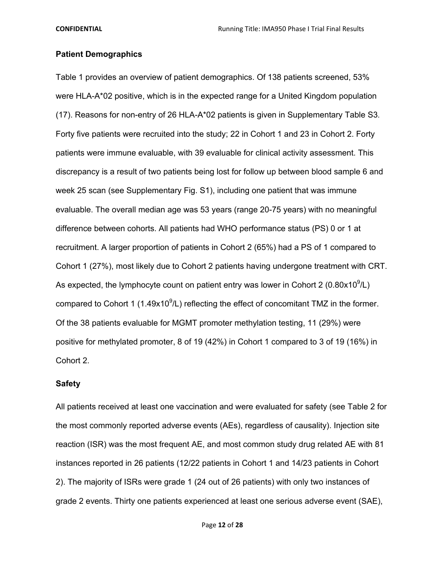## **Patient Demographics**

Table 1 provides an overview of patient demographics. Of 138 patients screened, 53% were HLA-A\*02 positive, which is in the expected range for a United Kingdom population (17). Reasons for non-entry of 26 HLA-A\*02 patients is given in Supplementary Table S3. Forty five patients were recruited into the study; 22 in Cohort 1 and 23 in Cohort 2. Forty patients were immune evaluable, with 39 evaluable for clinical activity assessment. This discrepancy is a result of two patients being lost for follow up between blood sample 6 and week 25 scan (see Supplementary Fig. S1), including one patient that was immune evaluable. The overall median age was 53 years (range 20-75 years) with no meaningful difference between cohorts. All patients had WHO performance status (PS) 0 or 1 at recruitment. A larger proportion of patients in Cohort 2 (65%) had a PS of 1 compared to Cohort 1 (27%), most likely due to Cohort 2 patients having undergone treatment with CRT. As expected, the lymphocyte count on patient entry was lower in Cohort 2 (0.80 $x10^9$ /L) compared to Cohort 1 (1.49 $x10^9$ /L) reflecting the effect of concomitant TMZ in the former. Of the 38 patients evaluable for MGMT promoter methylation testing, 11 (29%) were positive for methylated promoter, 8 of 19 (42%) in Cohort 1 compared to 3 of 19 (16%) in Cohort 2.

## **Safety**

All patients received at least one vaccination and were evaluated for safety (see Table 2 for the most commonly reported adverse events (AEs), regardless of causality). Injection site reaction (ISR) was the most frequent AE, and most common study drug related AE with 81 instances reported in 26 patients (12/22 patients in Cohort 1 and 14/23 patients in Cohort 2). The majority of ISRs were grade 1 (24 out of 26 patients) with only two instances of grade 2 events. Thirty one patients experienced at least one serious adverse event (SAE),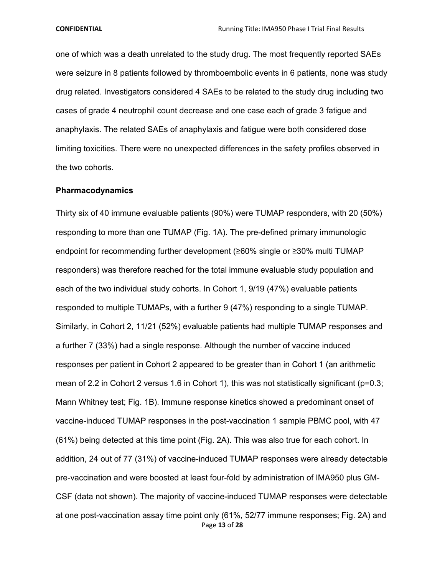one of which was a death unrelated to the study drug. The most frequently reported SAEs were seizure in 8 patients followed by thromboembolic events in 6 patients, none was study drug related. Investigators considered 4 SAEs to be related to the study drug including two cases of grade 4 neutrophil count decrease and one case each of grade 3 fatigue and anaphylaxis. The related SAEs of anaphylaxis and fatigue were both considered dose limiting toxicities. There were no unexpected differences in the safety profiles observed in the two cohorts.

#### **Pharmacodynamics**

Page **13** of **28** Thirty six of 40 immune evaluable patients (90%) were TUMAP responders, with 20 (50%) responding to more than one TUMAP (Fig. 1A). The pre-defined primary immunologic endpoint for recommending further development (≥60% single or ≥30% multi TUMAP responders) was therefore reached for the total immune evaluable study population and each of the two individual study cohorts. In Cohort 1, 9/19 (47%) evaluable patients responded to multiple TUMAPs, with a further 9 (47%) responding to a single TUMAP. Similarly, in Cohort 2, 11/21 (52%) evaluable patients had multiple TUMAP responses and a further 7 (33%) had a single response. Although the number of vaccine induced responses per patient in Cohort 2 appeared to be greater than in Cohort 1 (an arithmetic mean of 2.2 in Cohort 2 versus 1.6 in Cohort 1), this was not statistically significant (p=0.3; Mann Whitney test; Fig. 1B). Immune response kinetics showed a predominant onset of vaccine-induced TUMAP responses in the post-vaccination 1 sample PBMC pool, with 47 (61%) being detected at this time point (Fig. 2A). This was also true for each cohort. In addition, 24 out of 77 (31%) of vaccine-induced TUMAP responses were already detectable pre-vaccination and were boosted at least four-fold by administration of IMA950 plus GM-CSF (data not shown). The majority of vaccine-induced TUMAP responses were detectable at one post-vaccination assay time point only (61%, 52/77 immune responses; Fig. 2A) and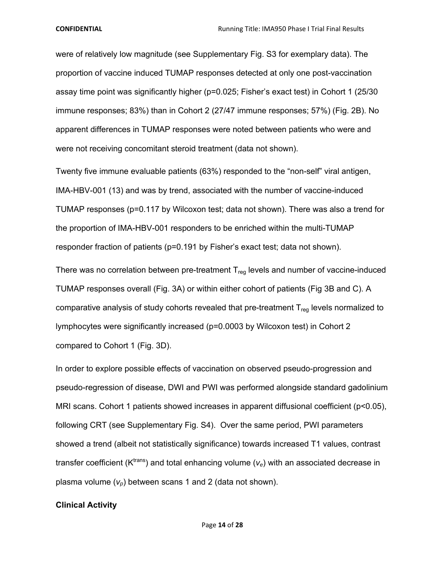were of relatively low magnitude (see Supplementary Fig. S3 for exemplary data). The proportion of vaccine induced TUMAP responses detected at only one post-vaccination assay time point was significantly higher (p=0.025; Fisher's exact test) in Cohort 1 (25/30 immune responses; 83%) than in Cohort 2 (27/47 immune responses; 57%) (Fig. 2B). No apparent differences in TUMAP responses were noted between patients who were and were not receiving concomitant steroid treatment (data not shown).

Twenty five immune evaluable patients (63%) responded to the "non-self" viral antigen, IMA-HBV-001 (13) and was by trend, associated with the number of vaccine-induced TUMAP responses (p=0.117 by Wilcoxon test; data not shown). There was also a trend for the proportion of IMA-HBV-001 responders to be enriched within the multi-TUMAP responder fraction of patients (p=0.191 by Fisher's exact test; data not shown).

There was no correlation between pre-treatment  $T_{reg}$  levels and number of vaccine-induced TUMAP responses overall (Fig. 3A) or within either cohort of patients (Fig 3B and C). A comparative analysis of study cohorts revealed that pre-treatment  $T_{req}$  levels normalized to lymphocytes were significantly increased (p=0.0003 by Wilcoxon test) in Cohort 2 compared to Cohort 1 (Fig. 3D).

In order to explore possible effects of vaccination on observed pseudo-progression and pseudo-regression of disease, DWI and PWI was performed alongside standard gadolinium MRI scans. Cohort 1 patients showed increases in apparent diffusional coefficient (p<0.05), following CRT (see Supplementary Fig. S4). Over the same period, PWI parameters showed a trend (albeit not statistically significance) towards increased T1 values, contrast transfer coefficient ( $K<sup>trans</sup>$ ) and total enhancing volume ( $v<sub>e</sub>$ ) with an associated decrease in plasma volume  $(v_p)$  between scans 1 and 2 (data not shown).

#### **Clinical Activity**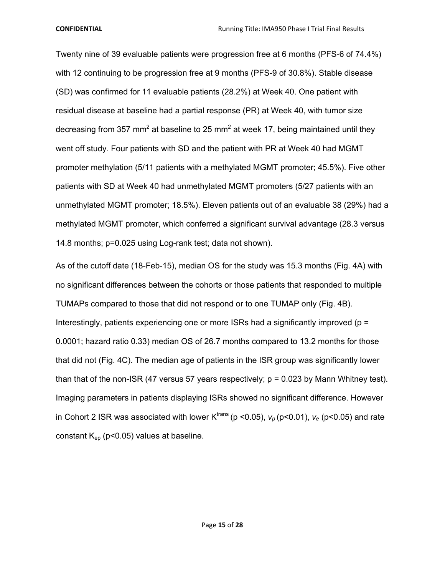Twenty nine of 39 evaluable patients were progression free at 6 months (PFS-6 of 74.4%) with 12 continuing to be progression free at 9 months (PFS-9 of 30.8%). Stable disease (SD) was confirmed for 11 evaluable patients (28.2%) at Week 40. One patient with residual disease at baseline had a partial response (PR) at Week 40, with tumor size decreasing from 357 mm<sup>2</sup> at baseline to 25 mm<sup>2</sup> at week 17, being maintained until they went off study. Four patients with SD and the patient with PR at Week 40 had MGMT promoter methylation (5/11 patients with a methylated MGMT promoter; 45.5%). Five other patients with SD at Week 40 had unmethylated MGMT promoters (5/27 patients with an unmethylated MGMT promoter; 18.5%). Eleven patients out of an evaluable 38 (29%) had a methylated MGMT promoter, which conferred a significant survival advantage (28.3 versus 14.8 months; p=0.025 using Log-rank test; data not shown).

As of the cutoff date (18-Feb-15), median OS for the study was 15.3 months (Fig. 4A) with no significant differences between the cohorts or those patients that responded to multiple TUMAPs compared to those that did not respond or to one TUMAP only (Fig. 4B). Interestingly, patients experiencing one or more ISRs had a significantly improved ( $p =$ 0.0001; hazard ratio 0.33) median OS of 26.7 months compared to 13.2 months for those that did not (Fig. 4C). The median age of patients in the ISR group was significantly lower than that of the non-ISR (47 versus 57 years respectively;  $p = 0.023$  by Mann Whitney test). Imaging parameters in patients displaying ISRs showed no significant difference. However in Cohort 2 ISR was associated with lower  $K^{trans}$  (p <0.05),  $v_p$  (p <0.01),  $v_e$  (p <0.05) and rate constant  $K_{ep}$  (p<0.05) values at baseline.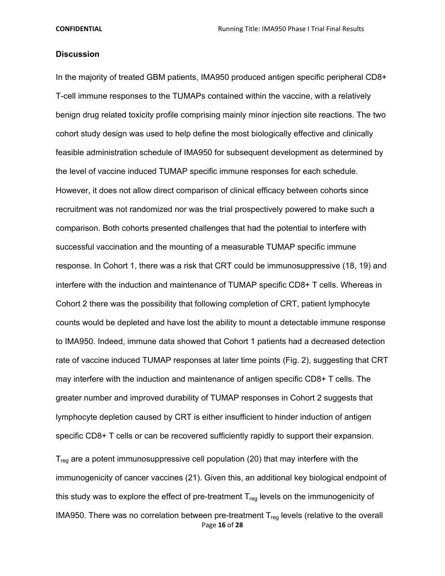## **Discussion**

In the majority of treated GBM patients, IMA950 produced antigen specific peripheral CD8+ T-cell immune responses to the TUMAPs contained within the vaccine, with a relatively benign drug related toxicity profile comprising mainly minor injection site reactions. The two cohort study design was used to help define the most biologically effective and clinically feasible administration schedule of IMA950 for subsequent development as determined by the level of vaccine induced TUMAP specific immune responses for each schedule. However, it does not allow direct comparison of clinical efficacy between cohorts since recruitment was not randomized nor was the trial prospectively powered to make such a comparison. Both cohorts presented challenges that had the potential to interfere with successful vaccination and the mounting of a measurable TUMAP specific immune response. In Cohort 1, there was a risk that CRT could be immunosuppressive (18, 19) and interfere with the induction and maintenance of TUMAP specific CD8+ T cells. Whereas in Cohort 2 there was the possibility that following completion of CRT, patient lymphocyte counts would be depleted and have lost the ability to mount a detectable immune response to IMA950. Indeed, immune data showed that Cohort 1 patients had a decreased detection rate of vaccine induced TUMAP responses at later time points (Fig. 2), suggesting that CRT may interfere with the induction and maintenance of antigen specific CD8+ T cells. The greater number and improved durability of TUMAP responses in Cohort 2 suggests that lymphocyte depletion caused by CRT is either insufficient to hinder induction of antigen specific CD8+ T cells or can be recovered sufficiently rapidly to support their expansion.

Page **16** of **28**  $T_{\text{reg}}$  are a potent immunosuppressive cell population (20) that may interfere with the immunogenicity of cancer vaccines (21). Given this, an additional key biological endpoint of this study was to explore the effect of pre-treatment  $T_{\text{req}}$  levels on the immunogenicity of IMA950. There was no correlation between pre-treatment  $T_{\text{reg}}$  levels (relative to the overall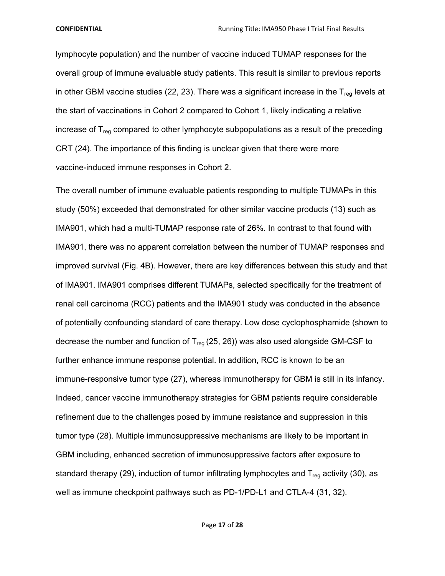lymphocyte population) and the number of vaccine induced TUMAP responses for the overall group of immune evaluable study patients. This result is similar to previous reports in other GBM vaccine studies (22, 23). There was a significant increase in the  $T_{\text{req}}$  levels at the start of vaccinations in Cohort 2 compared to Cohort 1, likely indicating a relative increase of  $T_{\text{req}}$  compared to other lymphocyte subpopulations as a result of the preceding CRT (24). The importance of this finding is unclear given that there were more vaccine-induced immune responses in Cohort 2.

The overall number of immune evaluable patients responding to multiple TUMAPs in this study (50%) exceeded that demonstrated for other similar vaccine products (13) such as IMA901, which had a multi-TUMAP response rate of 26%. In contrast to that found with IMA901, there was no apparent correlation between the number of TUMAP responses and improved survival (Fig. 4B). However, there are key differences between this study and that of IMA901. IMA901 comprises different TUMAPs, selected specifically for the treatment of renal cell carcinoma (RCC) patients and the IMA901 study was conducted in the absence of potentially confounding standard of care therapy. Low dose cyclophosphamide (shown to decrease the number and function of  $T_{\text{rea}}$  (25, 26)) was also used alongside GM-CSF to further enhance immune response potential. In addition, RCC is known to be an immune-responsive tumor type (27), whereas immunotherapy for GBM is still in its infancy. Indeed, cancer vaccine immunotherapy strategies for GBM patients require considerable refinement due to the challenges posed by immune resistance and suppression in this tumor type (28). Multiple immunosuppressive mechanisms are likely to be important in GBM including, enhanced secretion of immunosuppressive factors after exposure to standard therapy (29), induction of tumor infiltrating lymphocytes and  $T_{\text{req}}$  activity (30), as well as immune checkpoint pathways such as PD-1/PD-L1 and CTLA-4 (31, 32).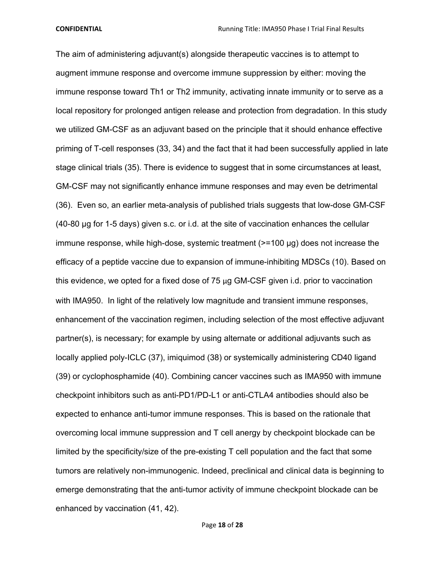The aim of administering adjuvant(s) alongside therapeutic vaccines is to attempt to augment immune response and overcome immune suppression by either: moving the immune response toward Th1 or Th2 immunity, activating innate immunity or to serve as a local repository for prolonged antigen release and protection from degradation. In this study we utilized GM-CSF as an adjuvant based on the principle that it should enhance effective priming of T-cell responses (33, 34) and the fact that it had been successfully applied in late stage clinical trials (35). There is evidence to suggest that in some circumstances at least, GM-CSF may not significantly enhance immune responses and may even be detrimental (36). Even so, an earlier meta-analysis of published trials suggests that low-dose GM-CSF (40-80 μg for 1-5 days) given s.c. or i.d. at the site of vaccination enhances the cellular immune response, while high-dose, systemic treatment (>=100 μg) does not increase the efficacy of a peptide vaccine due to expansion of immune-inhibiting MDSCs (10). Based on this evidence, we opted for a fixed dose of  $75 \mu$ g GM-CSF given i.d. prior to vaccination with IMA950. In light of the relatively low magnitude and transient immune responses, enhancement of the vaccination regimen, including selection of the most effective adjuvant partner(s), is necessary; for example by using alternate or additional adjuvants such as locally applied poly-ICLC (37), imiquimod (38) or systemically administering CD40 ligand (39) or cyclophosphamide (40). Combining cancer vaccines such as IMA950 with immune checkpoint inhibitors such as anti-PD1/PD-L1 or anti-CTLA4 antibodies should also be expected to enhance anti-tumor immune responses. This is based on the rationale that overcoming local immune suppression and T cell anergy by checkpoint blockade can be limited by the specificity/size of the pre-existing T cell population and the fact that some tumors are relatively non-immunogenic. Indeed, preclinical and clinical data is beginning to emerge demonstrating that the anti-tumor activity of immune checkpoint blockade can be enhanced by vaccination (41, 42).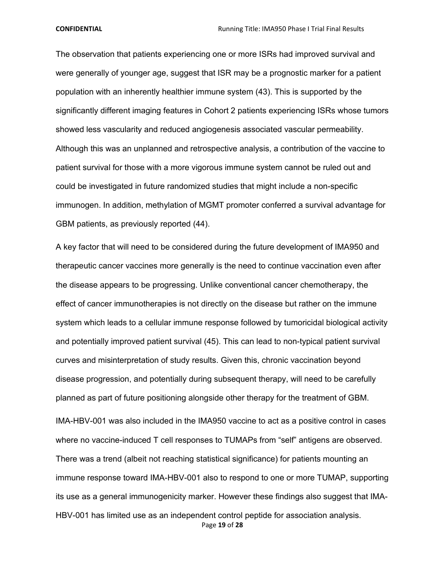The observation that patients experiencing one or more ISRs had improved survival and were generally of younger age, suggest that ISR may be a prognostic marker for a patient population with an inherently healthier immune system (43). This is supported by the significantly different imaging features in Cohort 2 patients experiencing ISRs whose tumors showed less vascularity and reduced angiogenesis associated vascular permeability. Although this was an unplanned and retrospective analysis, a contribution of the vaccine to patient survival for those with a more vigorous immune system cannot be ruled out and could be investigated in future randomized studies that might include a non-specific immunogen. In addition, methylation of MGMT promoter conferred a survival advantage for GBM patients, as previously reported (44).

A key factor that will need to be considered during the future development of IMA950 and therapeutic cancer vaccines more generally is the need to continue vaccination even after the disease appears to be progressing. Unlike conventional cancer chemotherapy, the effect of cancer immunotherapies is not directly on the disease but rather on the immune system which leads to a cellular immune response followed by tumoricidal biological activity and potentially improved patient survival (45). This can lead to non-typical patient survival curves and misinterpretation of study results. Given this, chronic vaccination beyond disease progression, and potentially during subsequent therapy, will need to be carefully planned as part of future positioning alongside other therapy for the treatment of GBM. IMA-HBV-001 was also included in the IMA950 vaccine to act as a positive control in cases where no vaccine-induced T cell responses to TUMAPs from "self" antigens are observed. There was a trend (albeit not reaching statistical significance) for patients mounting an immune response toward IMA-HBV-001 also to respond to one or more TUMAP, supporting its use as a general immunogenicity marker. However these findings also suggest that IMA-

Page **19** of **28** HBV-001 has limited use as an independent control peptide for association analysis.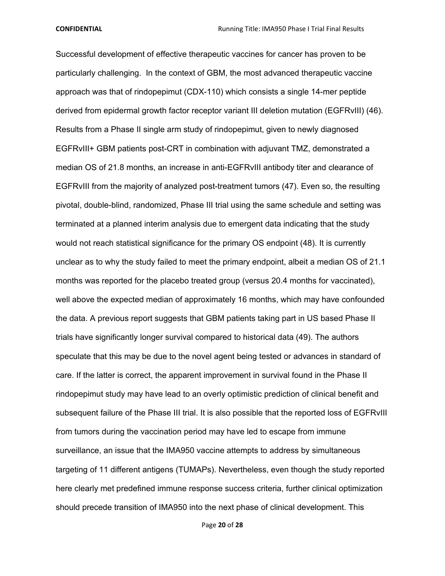Successful development of effective therapeutic vaccines for cancer has proven to be particularly challenging. In the context of GBM, the most advanced therapeutic vaccine approach was that of rindopepimut (CDX-110) which consists a single 14-mer peptide derived from epidermal growth factor receptor variant III deletion mutation (EGFRvIII) (46). Results from a Phase II single arm study of rindopepimut, given to newly diagnosed EGFRvIII+ GBM patients post-CRT in combination with adjuvant TMZ, demonstrated a median OS of 21.8 months, an increase in anti-EGFRvIII antibody titer and clearance of EGFRvIII from the majority of analyzed post-treatment tumors (47). Even so, the resulting pivotal, double-blind, randomized, Phase III trial using the same schedule and setting was terminated at a planned interim analysis due to emergent data indicating that the study would not reach statistical significance for the primary OS endpoint (48). It is currently unclear as to why the study failed to meet the primary endpoint, albeit a median OS of 21.1 months was reported for the placebo treated group (versus 20.4 months for vaccinated), well above the expected median of approximately 16 months, which may have confounded the data. A previous report suggests that GBM patients taking part in US based Phase II trials have significantly longer survival compared to historical data (49). The authors speculate that this may be due to the novel agent being tested or advances in standard of care. If the latter is correct, the apparent improvement in survival found in the Phase II rindopepimut study may have lead to an overly optimistic prediction of clinical benefit and subsequent failure of the Phase III trial. It is also possible that the reported loss of EGFRvIII from tumors during the vaccination period may have led to escape from immune surveillance, an issue that the IMA950 vaccine attempts to address by simultaneous targeting of 11 different antigens (TUMAPs). Nevertheless, even though the study reported here clearly met predefined immune response success criteria, further clinical optimization should precede transition of IMA950 into the next phase of clinical development. This

Page **20** of **28**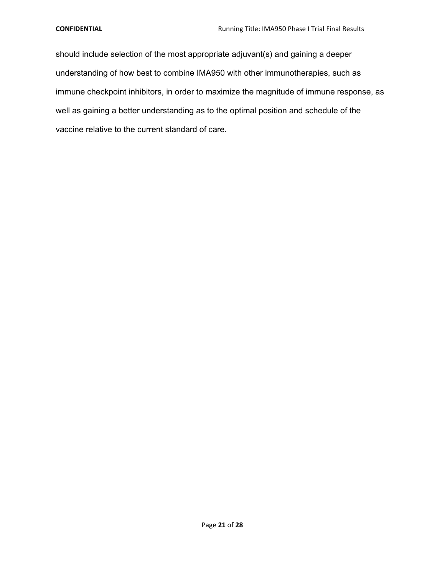should include selection of the most appropriate adjuvant(s) and gaining a deeper understanding of how best to combine IMA950 with other immunotherapies, such as immune checkpoint inhibitors, in order to maximize the magnitude of immune response, as well as gaining a better understanding as to the optimal position and schedule of the vaccine relative to the current standard of care.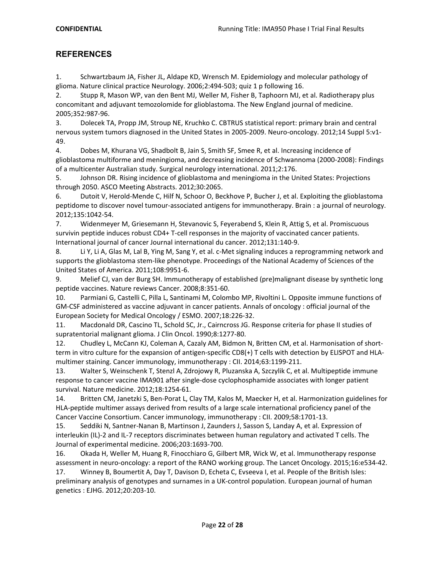# **REFERENCES**

1. Schwartzbaum JA, Fisher JL, Aldape KD, Wrensch M. Epidemiology and molecular pathology of glioma. Nature clinical practice Neurology. 2006;2:494-503; quiz 1 p following 16.

2. Stupp R, Mason WP, van den Bent MJ, Weller M, Fisher B, Taphoorn MJ, et al. Radiotherapy plus concomitant and adjuvant temozolomide for glioblastoma. The New England journal of medicine. 2005;352:987-96.

3. Dolecek TA, Propp JM, Stroup NE, Kruchko C. CBTRUS statistical report: primary brain and central nervous system tumors diagnosed in the United States in 2005-2009. Neuro-oncology. 2012;14 Suppl 5:v1- 49.

4. Dobes M, Khurana VG, Shadbolt B, Jain S, Smith SF, Smee R, et al. Increasing incidence of glioblastoma multiforme and meningioma, and decreasing incidence of Schwannoma (2000-2008): Findings of a multicenter Australian study. Surgical neurology international. 2011;2:176.

5. Johnson DR. Rising incidence of glioblastoma and meningioma in the United States: Projections through 2050. ASCO Meeting Abstracts. 2012;30:2065.

6. Dutoit V, Herold-Mende C, Hilf N, Schoor O, Beckhove P, Bucher J, et al. Exploiting the glioblastoma peptidome to discover novel tumour-associated antigens for immunotherapy. Brain : a journal of neurology. 2012;135:1042-54.

7. Widenmeyer M, Griesemann H, Stevanovic S, Feyerabend S, Klein R, Attig S, et al. Promiscuous survivin peptide induces robust CD4+ T-cell responses in the majority of vaccinated cancer patients. International journal of cancer Journal international du cancer. 2012;131:140-9.

8. Li Y, Li A, Glas M, Lal B, Ying M, Sang Y, et al. c-Met signaling induces a reprogramming network and supports the glioblastoma stem-like phenotype. Proceedings of the National Academy of Sciences of the United States of America. 2011;108:9951-6.

9. Melief CJ, van der Burg SH. Immunotherapy of established (pre)malignant disease by synthetic long peptide vaccines. Nature reviews Cancer. 2008;8:351-60.

10. Parmiani G, Castelli C, Pilla L, Santinami M, Colombo MP, Rivoltini L. Opposite immune functions of GM-CSF administered as vaccine adjuvant in cancer patients. Annals of oncology : official journal of the European Society for Medical Oncology / ESMO. 2007;18:226-32.

11. Macdonald DR, Cascino TL, Schold SC, Jr., Cairncross JG. Response criteria for phase II studies of supratentorial malignant glioma. J Clin Oncol. 1990;8:1277-80.

12. Chudley L, McCann KJ, Coleman A, Cazaly AM, Bidmon N, Britten CM, et al. Harmonisation of shortterm in vitro culture for the expansion of antigen-specific CD8(+) T cells with detection by ELISPOT and HLAmultimer staining. Cancer immunology, immunotherapy : CII. 2014;63:1199-211.

13. Walter S, Weinschenk T, Stenzl A, Zdrojowy R, Pluzanska A, Szczylik C, et al. Multipeptide immune response to cancer vaccine IMA901 after single-dose cyclophosphamide associates with longer patient survival. Nature medicine. 2012;18:1254-61.

14. Britten CM, Janetzki S, Ben-Porat L, Clay TM, Kalos M, Maecker H, et al. Harmonization guidelines for HLA-peptide multimer assays derived from results of a large scale international proficiency panel of the Cancer Vaccine Consortium. Cancer immunology, immunotherapy : CII. 2009;58:1701-13.

15. Seddiki N, Santner-Nanan B, Martinson J, Zaunders J, Sasson S, Landay A, et al. Expression of interleukin (IL)-2 and IL-7 receptors discriminates between human regulatory and activated T cells. The Journal of experimental medicine. 2006;203:1693-700.

16. Okada H, Weller M, Huang R, Finocchiaro G, Gilbert MR, Wick W, et al. Immunotherapy response assessment in neuro-oncology: a report of the RANO working group. The Lancet Oncology. 2015;16:e534-42.

17. Winney B, Boumertit A, Day T, Davison D, Echeta C, Evseeva I, et al. People of the British Isles: preliminary analysis of genotypes and surnames in a UK-control population. European journal of human genetics : EJHG. 2012;20:203-10.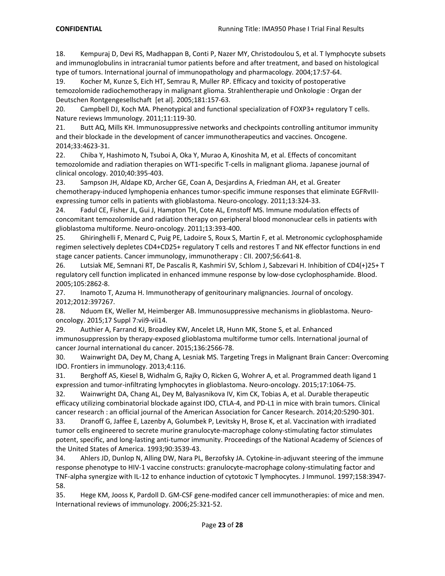18. Kempuraj D, Devi RS, Madhappan B, Conti P, Nazer MY, Christodoulou S, et al. T lymphocyte subsets and immunoglobulins in intracranial tumor patients before and after treatment, and based on histological type of tumors. International journal of immunopathology and pharmacology. 2004;17:57-64.

19. Kocher M, Kunze S, Eich HT, Semrau R, Muller RP. Efficacy and toxicity of postoperative temozolomide radiochemotherapy in malignant glioma. Strahlentherapie und Onkologie : Organ der Deutschen Rontgengesellschaft [et al]. 2005;181:157-63.

20. Campbell DJ, Koch MA. Phenotypical and functional specialization of FOXP3+ regulatory T cells. Nature reviews Immunology. 2011;11:119-30.

21. Butt AQ, Mills KH. Immunosuppressive networks and checkpoints controlling antitumor immunity and their blockade in the development of cancer immunotherapeutics and vaccines. Oncogene. 2014;33:4623-31.

22. Chiba Y, Hashimoto N, Tsuboi A, Oka Y, Murao A, Kinoshita M, et al. Effects of concomitant temozolomide and radiation therapies on WT1-specific T-cells in malignant glioma. Japanese journal of clinical oncology. 2010;40:395-403.

23. Sampson JH, Aldape KD, Archer GE, Coan A, Desjardins A, Friedman AH, et al. Greater chemotherapy-induced lymphopenia enhances tumor-specific immune responses that eliminate EGFRvIIIexpressing tumor cells in patients with glioblastoma. Neuro-oncology. 2011;13:324-33.

24. Fadul CE, Fisher JL, Gui J, Hampton TH, Cote AL, Ernstoff MS. Immune modulation effects of concomitant temozolomide and radiation therapy on peripheral blood mononuclear cells in patients with glioblastoma multiforme. Neuro-oncology. 2011;13:393-400.

25. Ghiringhelli F, Menard C, Puig PE, Ladoire S, Roux S, Martin F, et al. Metronomic cyclophosphamide regimen selectively depletes CD4+CD25+ regulatory T cells and restores T and NK effector functions in end stage cancer patients. Cancer immunology, immunotherapy : CII. 2007;56:641-8.

26. Lutsiak ME, Semnani RT, De Pascalis R, Kashmiri SV, Schlom J, Sabzevari H. Inhibition of CD4(+)25+ T regulatory cell function implicated in enhanced immune response by low-dose cyclophosphamide. Blood. 2005;105:2862-8.

27. Inamoto T, Azuma H. Immunotherapy of genitourinary malignancies. Journal of oncology. 2012;2012:397267.

28. Nduom EK, Weller M, Heimberger AB. Immunosuppressive mechanisms in glioblastoma. Neurooncology. 2015;17 Suppl 7:vii9-vii14.

29. Authier A, Farrand KJ, Broadley KW, Ancelet LR, Hunn MK, Stone S, et al. Enhanced immunosuppression by therapy-exposed glioblastoma multiforme tumor cells. International journal of cancer Journal international du cancer. 2015;136:2566-78.

30. Wainwright DA, Dey M, Chang A, Lesniak MS. Targeting Tregs in Malignant Brain Cancer: Overcoming IDO. Frontiers in immunology. 2013;4:116.

31. Berghoff AS, Kiesel B, Widhalm G, Rajky O, Ricken G, Wohrer A, et al. Programmed death ligand 1 expression and tumor-infiltrating lymphocytes in glioblastoma. Neuro-oncology. 2015;17:1064-75.

32. Wainwright DA, Chang AL, Dey M, Balyasnikova IV, Kim CK, Tobias A, et al. Durable therapeutic efficacy utilizing combinatorial blockade against IDO, CTLA-4, and PD-L1 in mice with brain tumors. Clinical cancer research : an official journal of the American Association for Cancer Research. 2014;20:5290-301.

33. Dranoff G, Jaffee E, Lazenby A, Golumbek P, Levitsky H, Brose K, et al. Vaccination with irradiated tumor cells engineered to secrete murine granulocyte-macrophage colony-stimulating factor stimulates potent, specific, and long-lasting anti-tumor immunity. Proceedings of the National Academy of Sciences of the United States of America. 1993;90:3539-43.

34. Ahlers JD, Dunlop N, Alling DW, Nara PL, Berzofsky JA. Cytokine-in-adjuvant steering of the immune response phenotype to HIV-1 vaccine constructs: granulocyte-macrophage colony-stimulating factor and TNF-alpha synergize with IL-12 to enhance induction of cytotoxic T lymphocytes. J Immunol. 1997;158:3947- 58.

35. Hege KM, Jooss K, Pardoll D. GM-CSF gene-modifed cancer cell immunotherapies: of mice and men. International reviews of immunology. 2006;25:321-52.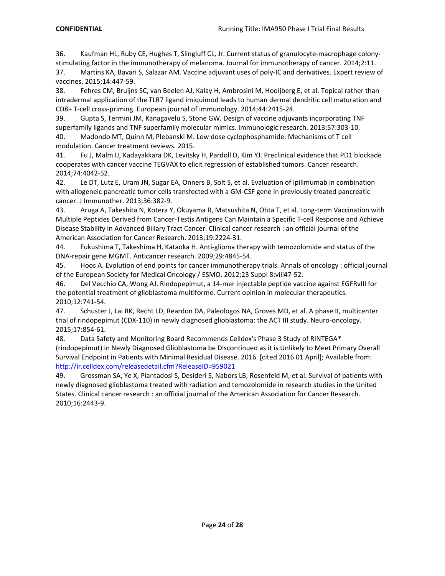36. Kaufman HL, Ruby CE, Hughes T, Slingluff CL, Jr. Current status of granulocyte-macrophage colonystimulating factor in the immunotherapy of melanoma. Journal for immunotherapy of cancer. 2014;2:11.

37. Martins KA, Bavari S, Salazar AM. Vaccine adjuvant uses of poly-IC and derivatives. Expert review of vaccines. 2015;14:447-59.

38. Fehres CM, Bruijns SC, van Beelen AJ, Kalay H, Ambrosini M, Hooijberg E, et al. Topical rather than intradermal application of the TLR7 ligand imiquimod leads to human dermal dendritic cell maturation and CD8+ T-cell cross-priming. European journal of immunology. 2014;44:2415-24.

39. Gupta S, Termini JM, Kanagavelu S, Stone GW. Design of vaccine adjuvants incorporating TNF superfamily ligands and TNF superfamily molecular mimics. Immunologic research. 2013;57:303-10.

40. Madondo MT, Quinn M, Plebanski M. Low dose cyclophosphamide: Mechanisms of T cell modulation. Cancer treatment reviews. 2015.

41. Fu J, Malm IJ, Kadayakkara DK, Levitsky H, Pardoll D, Kim YJ. Preclinical evidence that PD1 blockade cooperates with cancer vaccine TEGVAX to elicit regression of established tumors. Cancer research. 2014;74:4042-52.

42. Le DT, Lutz E, Uram JN, Sugar EA, Onners B, Solt S, et al. Evaluation of ipilimumab in combination with allogeneic pancreatic tumor cells transfected with a GM-CSF gene in previously treated pancreatic cancer. J Immunother. 2013;36:382-9.

43. Aruga A, Takeshita N, Kotera Y, Okuyama R, Matsushita N, Ohta T, et al. Long-term Vaccination with Multiple Peptides Derived from Cancer-Testis Antigens Can Maintain a Specific T-cell Response and Achieve Disease Stability in Advanced Biliary Tract Cancer. Clinical cancer research : an official journal of the American Association for Cancer Research. 2013;19:2224-31.

44. Fukushima T, Takeshima H, Kataoka H. Anti-glioma therapy with temozolomide and status of the DNA-repair gene MGMT. Anticancer research. 2009;29:4845-54.

45. Hoos A. Evolution of end points for cancer immunotherapy trials. Annals of oncology : official journal of the European Society for Medical Oncology / ESMO. 2012;23 Suppl 8:viii47-52.

46. Del Vecchio CA, Wong AJ. Rindopepimut, a 14-mer injectable peptide vaccine against EGFRvIII for the potential treatment of glioblastoma multiforme. Current opinion in molecular therapeutics. 2010;12:741-54.

47. Schuster J, Lai RK, Recht LD, Reardon DA, Paleologos NA, Groves MD, et al. A phase II, multicenter trial of rindopepimut (CDX-110) in newly diagnosed glioblastoma: the ACT III study. Neuro-oncology. 2015;17:854-61.

48. Data Safety and Monitoring Board Recommends Celldex's Phase 3 Study of RINTEGA® (rindopepimut) in Newly Diagnosed Glioblastoma be Discontinued as it is Unlikely to Meet Primary Overall Survival Endpoint in Patients with Minimal Residual Disease. 2016 [cited 2016 01 April]; Available from: http://ir.celldex.com/releasedetail.cfm?ReleaseID=959021

49. Grossman SA, Ye X, Piantadosi S, Desideri S, Nabors LB, Rosenfeld M, et al. Survival of patients with newly diagnosed glioblastoma treated with radiation and temozolomide in research studies in the United States. Clinical cancer research : an official journal of the American Association for Cancer Research. 2010;16:2443-9.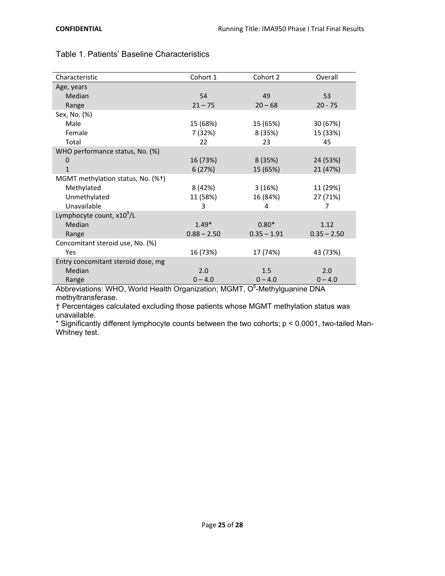| Characteristic                        | Cohort 1      | Cohort 2      | Overall       |
|---------------------------------------|---------------|---------------|---------------|
| Age, years                            |               |               |               |
| Median                                | 54            | 49            | 53            |
| Range                                 | $21 - 75$     | $20 - 68$     | $20 - 75$     |
| Sex, No. (%)                          |               |               |               |
| Male                                  | 15 (68%)      | 15 (65%)      | 30 (67%)      |
| Female                                | 7 (32%)       | 8 (35%)       | 15 (33%)      |
| Total                                 | 22            | 23            | 45            |
| WHO performance status, No. (%)       |               |               |               |
| $\mathbf 0$                           | 16 (73%)      | 8 (35%)       | 24 (53%)      |
| $\mathbf{1}$                          | 6(27%)        | 15 (65%)      | 21 (47%)      |
| MGMT methylation status, No. (%+)     |               |               |               |
| Methylated                            | 8 (42%)       | 3(16%)        | 11 (29%)      |
| Unmethylated                          | 11 (58%)      | 16 (84%)      | 27 (71%)      |
| Unavailable                           | 3             | 4             | 7             |
| Lymphocyte count, x10 <sup>9</sup> /L |               |               |               |
| Median                                | $1.49*$       | $0.80*$       | 1.12          |
| Range                                 | $0.88 - 2.50$ | $0.35 - 1.91$ | $0.35 - 2.50$ |
| Concomitant steroid use, No. (%)      |               |               |               |
| Yes                                   | 16 (73%)      | 17 (74%)      | 43 (73%)      |
| Entry concomitant steroid dose, mg    |               |               |               |
| Median                                | 2.0           | 1.5           | 2.0           |
| Range                                 | $0 - 4.0$     | $0 - 4.0$     | $0 - 4.0$     |

# Table 1. Patients' Baseline Characteristics

Abbreviations: WHO, World Health Organization; MGMT, O<sup>6</sup>-Methylguanine DNA methyltransferase.

† Percentages calculated excluding those patients whose MGMT methylation status was unavailable.

\* Significantly different lymphocyte counts between the two cohorts; p < 0.0001, two-tailed Man-Whitney test.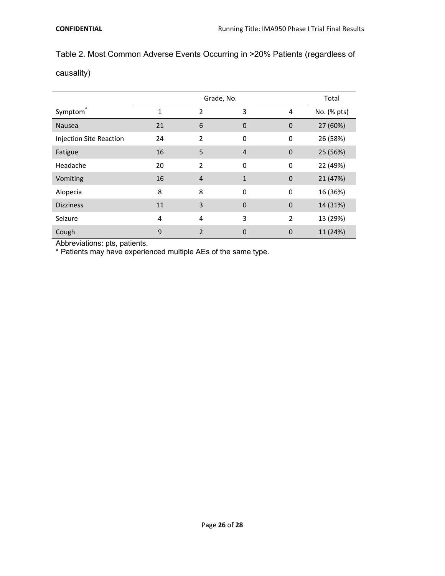# Table 2. Most Common Adverse Events Occurring in >20% Patients (regardless of

causality)

|                                |    | Total          |                |                |             |
|--------------------------------|----|----------------|----------------|----------------|-------------|
| Symptom <sup>®</sup>           | 1  | 2              | 3              | 4              | No. (% pts) |
| <b>Nausea</b>                  | 21 | 6              | $\overline{0}$ | $\overline{0}$ | 27 (60%)    |
| <b>Injection Site Reaction</b> | 24 | $\overline{2}$ | $\mathbf 0$    | 0              | 26 (58%)    |
| Fatigue                        | 16 | 5              | 4              | $\mathbf{0}$   | 25 (56%)    |
| Headache                       | 20 | $\overline{2}$ | $\mathbf 0$    | 0              | 22 (49%)    |
| Vomiting                       | 16 | $\overline{4}$ | $\mathbf{1}$   | $\mathbf{0}$   | 21 (47%)    |
| Alopecia                       | 8  | 8              | $\Omega$       | $\mathbf 0$    | 16 (36%)    |
| <b>Dizziness</b>               | 11 | 3              | $\overline{0}$ | $\mathbf{0}$   | 14 (31%)    |
| Seizure                        | 4  | $\overline{4}$ | 3              | $\overline{2}$ | 13 (29%)    |
| Cough                          | 9  | $\overline{2}$ | $\Omega$       | $\overline{0}$ | 11 (24%)    |

Abbreviations: pts, patients.

\* Patients may have experienced multiple AEs of the same type.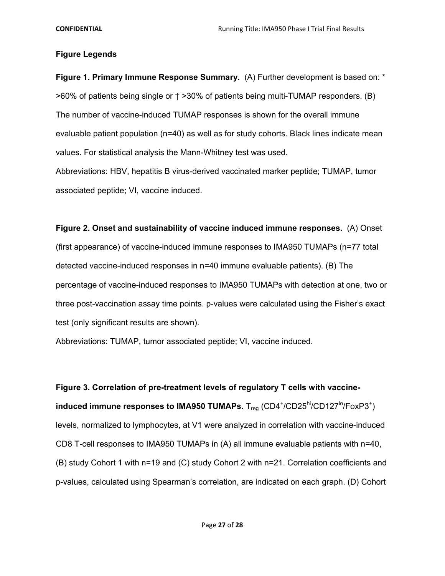## **Figure Legends**

**Figure 1. Primary Immune Response Summary.** (A) Further development is based on: \* >60% of patients being single or † >30% of patients being multi-TUMAP responders. (B) The number of vaccine-induced TUMAP responses is shown for the overall immune evaluable patient population (n=40) as well as for study cohorts. Black lines indicate mean values. For statistical analysis the Mann-Whitney test was used.

Abbreviations: HBV, hepatitis B virus-derived vaccinated marker peptide; TUMAP, tumor associated peptide; VI, vaccine induced.

**Figure 2. Onset and sustainability of vaccine induced immune responses.** (A) Onset (first appearance) of vaccine-induced immune responses to IMA950 TUMAPs (n=77 total detected vaccine-induced responses in n=40 immune evaluable patients). (B) The percentage of vaccine-induced responses to IMA950 TUMAPs with detection at one, two or three post-vaccination assay time points. p-values were calculated using the Fisher's exact test (only significant results are shown).

Abbreviations: TUMAP, tumor associated peptide; VI, vaccine induced.

**Figure 3. Correlation of pre-treatment levels of regulatory T cells with vaccineinduced immune responses to IMA950 TUMAPs.** T<sub>reg</sub> (CD4<sup>+</sup>/CD25<sup>hi</sup>/CD127<sup>lo</sup>/FoxP3<sup>+</sup>) levels, normalized to lymphocytes, at V1 were analyzed in correlation with vaccine-induced CD8 T-cell responses to IMA950 TUMAPs in (A) all immune evaluable patients with n=40, (B) study Cohort 1 with n=19 and (C) study Cohort 2 with n=21. Correlation coefficients and p-values, calculated using Spearman's correlation, are indicated on each graph. (D) Cohort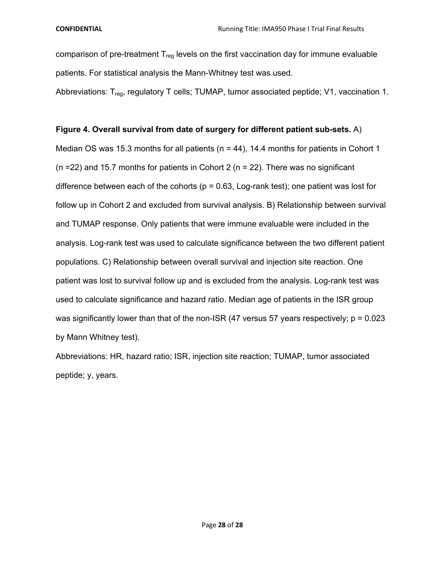comparison of pre-treatment  $T_{reg}$  levels on the first vaccination day for immune evaluable patients. For statistical analysis the Mann-Whitney test was used.

Abbreviations:  $T_{req}$ , regulatory T cells; TUMAP, tumor associated peptide; V1, vaccination 1.

# **Figure 4. Overall survival from date of surgery for different patient sub-sets.** A)

Median OS was 15.3 months for all patients ( $n = 44$ ), 14.4 months for patients in Cohort 1 ( $n = 22$ ) and 15.7 months for patients in Cohort 2 ( $n = 22$ ). There was no significant difference between each of the cohorts ( $p = 0.63$ , Log-rank test); one patient was lost for follow up in Cohort 2 and excluded from survival analysis. B) Relationship between survival and TUMAP response. Only patients that were immune evaluable were included in the analysis. Log-rank test was used to calculate significance between the two different patient populations. C) Relationship between overall survival and injection site reaction. One patient was lost to survival follow up and is excluded from the analysis. Log-rank test was used to calculate significance and hazard ratio. Median age of patients in the ISR group was significantly lower than that of the non-ISR  $(47 \text{ versus } 57 \text{ years respectively})$ ; p = 0.023 by Mann Whitney test).

Abbreviations: HR, hazard ratio; ISR, injection site reaction; TUMAP, tumor associated peptide; y, years.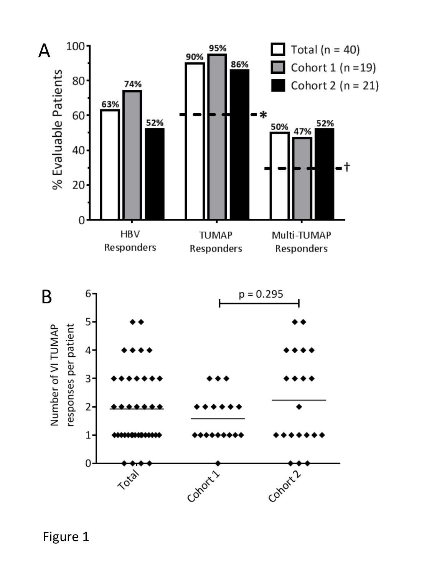

Conor11

Cohorn 2



 $1$ 

 $\mathbf 0$ 

**PASS**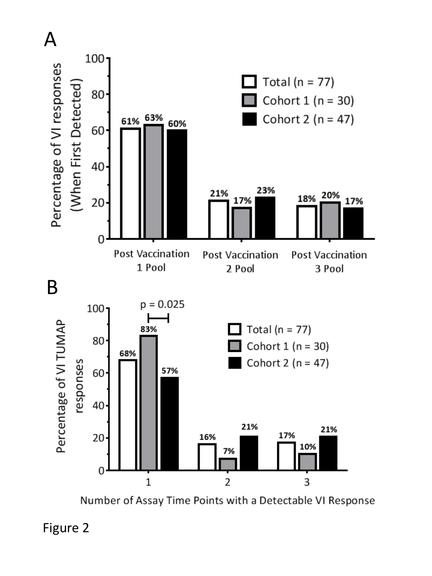

Number of Assay Time Points with a Detectable VI Response

Figure 2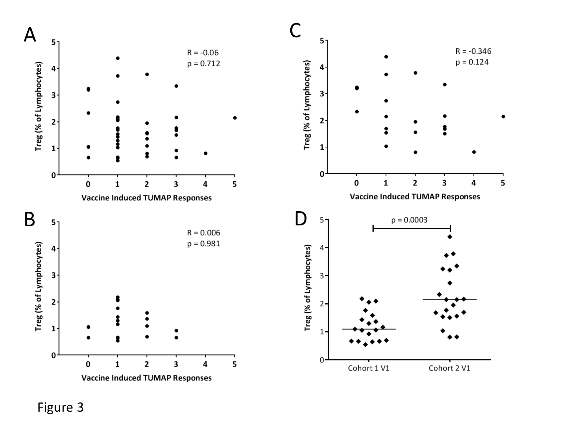

Figure 3